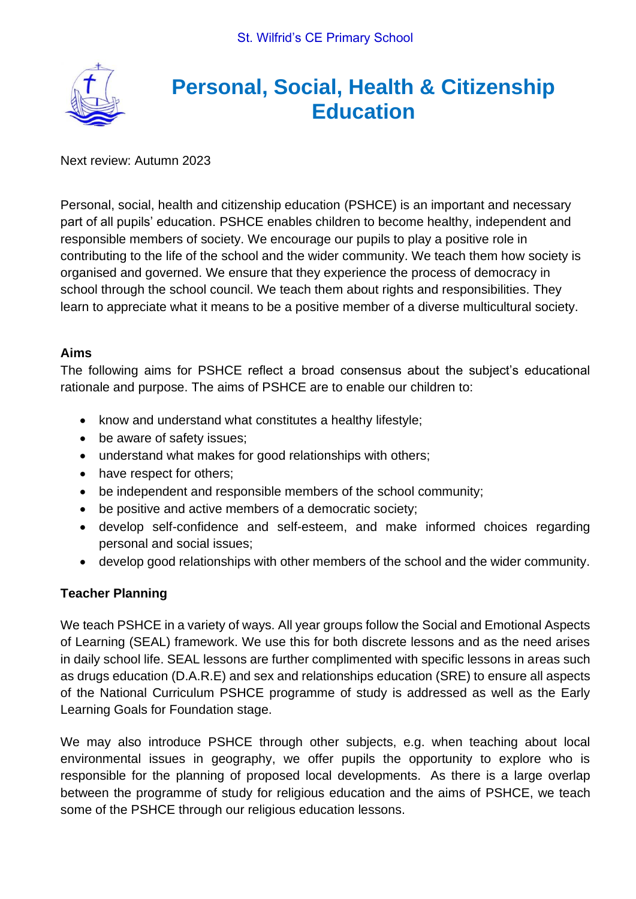

# **Personal, Social, Health & Citizenship Education**

Next review: Autumn 2023

Personal, social, health and citizenship education (PSHCE) is an important and necessary part of all pupils' education. PSHCE enables children to become healthy, independent and responsible members of society. We encourage our pupils to play a positive role in contributing to the life of the school and the wider community. We teach them how society is organised and governed. We ensure that they experience the process of democracy in school through the school council. We teach them about rights and responsibilities. They learn to appreciate what it means to be a positive member of a diverse multicultural society.

### **Aims**

The following aims for PSHCE reflect a broad consensus about the subject's educational rationale and purpose. The aims of PSHCE are to enable our children to:

- know and understand what constitutes a healthy lifestyle;
- be aware of safety issues;
- understand what makes for good relationships with others;
- have respect for others;
- be independent and responsible members of the school community;
- be positive and active members of a democratic society;
- develop self-confidence and self-esteem, and make informed choices regarding personal and social issues;
- develop good relationships with other members of the school and the wider community.

# **Teacher Planning**

We teach PSHCE in a variety of ways. All year groups follow the Social and Emotional Aspects of Learning (SEAL) framework. We use this for both discrete lessons and as the need arises in daily school life. SEAL lessons are further complimented with specific lessons in areas such as drugs education (D.A.R.E) and sex and relationships education (SRE) to ensure all aspects of the National Curriculum PSHCE programme of study is addressed as well as the Early Learning Goals for Foundation stage.

We may also introduce PSHCE through other subjects, e.g. when teaching about local environmental issues in geography, we offer pupils the opportunity to explore who is responsible for the planning of proposed local developments. As there is a large overlap between the programme of study for religious education and the aims of PSHCE, we teach some of the PSHCE through our religious education lessons.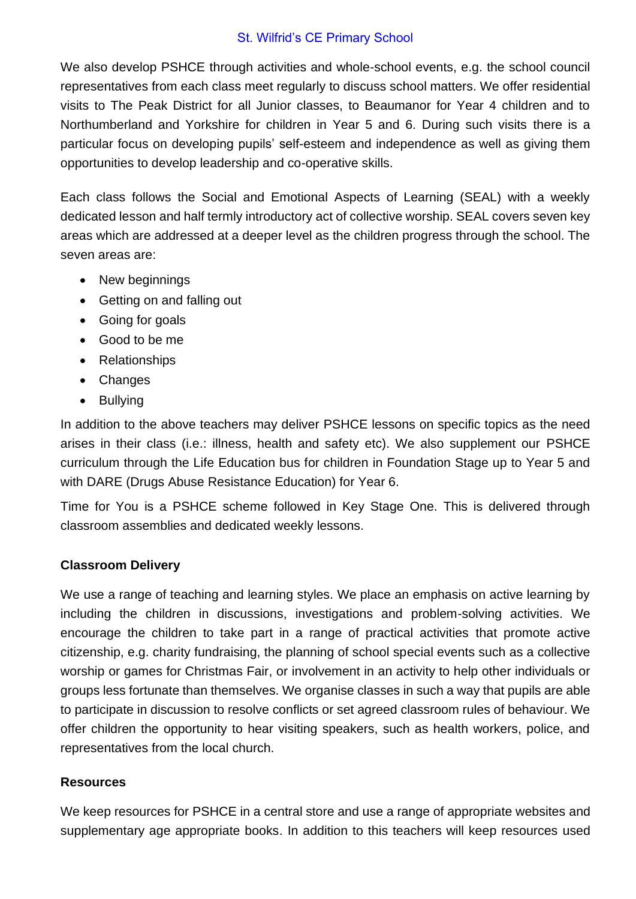#### St. Wilfrid's CE Primary School

We also develop PSHCE through activities and whole-school events, e.g. the school council representatives from each class meet regularly to discuss school matters. We offer residential visits to The Peak District for all Junior classes, to Beaumanor for Year 4 children and to Northumberland and Yorkshire for children in Year 5 and 6. During such visits there is a particular focus on developing pupils' self-esteem and independence as well as giving them opportunities to develop leadership and co-operative skills.

Each class follows the Social and Emotional Aspects of Learning (SEAL) with a weekly dedicated lesson and half termly introductory act of collective worship. SEAL covers seven key areas which are addressed at a deeper level as the children progress through the school. The seven areas are:

- New beginnings
- Getting on and falling out
- Going for goals
- Good to be me
- Relationships
- Changes
- Bullying

In addition to the above teachers may deliver PSHCE lessons on specific topics as the need arises in their class (i.e.: illness, health and safety etc). We also supplement our PSHCE curriculum through the Life Education bus for children in Foundation Stage up to Year 5 and with DARE (Drugs Abuse Resistance Education) for Year 6.

Time for You is a PSHCE scheme followed in Key Stage One. This is delivered through classroom assemblies and dedicated weekly lessons.

### **Classroom Delivery**

We use a range of teaching and learning styles. We place an emphasis on active learning by including the children in discussions, investigations and problem-solving activities. We encourage the children to take part in a range of practical activities that promote active citizenship, e.g. charity fundraising, the planning of school special events such as a collective worship or games for Christmas Fair, or involvement in an activity to help other individuals or groups less fortunate than themselves. We organise classes in such a way that pupils are able to participate in discussion to resolve conflicts or set agreed classroom rules of behaviour. We offer children the opportunity to hear visiting speakers, such as health workers, police, and representatives from the local church.

### **Resources**

We keep resources for PSHCE in a central store and use a range of appropriate websites and supplementary age appropriate books. In addition to this teachers will keep resources used